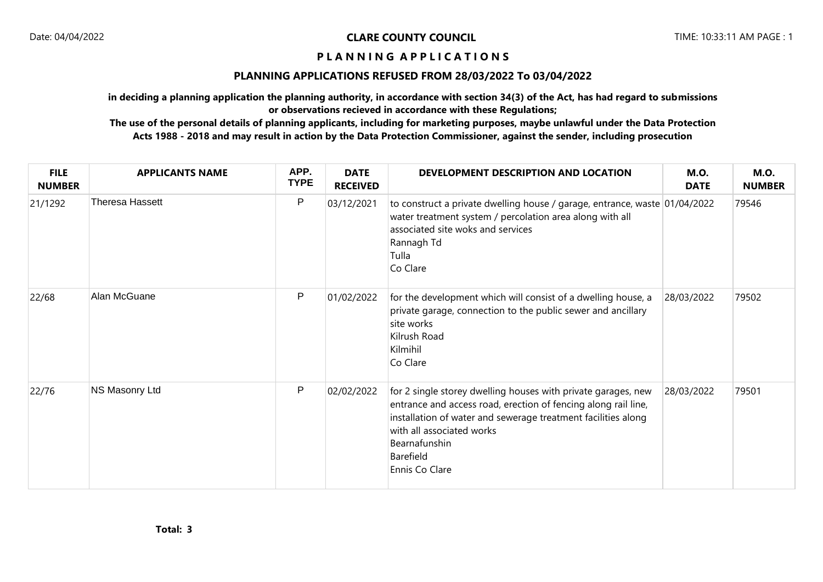## **P L A N N I N G A P P L I C A T I O N S**

## **PLANNING APPLICATIONS REFUSED FROM 28/03/2022 To 03/04/2022**

**in deciding a planning application the planning authority, in accordance with section 34(3) of the Act, has had regard to submissions or observations recieved in accordance with these Regulations;**

**The use of the personal details of planning applicants, including for marketing purposes, maybe unlawful under the Data Protection Acts 1988 - 2018 and may result in action by the Data Protection Commissioner, against the sender, including prosecution**

| <b>FILE</b><br><b>NUMBER</b> | <b>APPLICANTS NAME</b> | APP.<br><b>TYPE</b> | <b>DATE</b><br><b>RECEIVED</b> | DEVELOPMENT DESCRIPTION AND LOCATION                                                                                                                                                                                                                                          | <b>M.O.</b><br><b>DATE</b> | <b>M.O.</b><br><b>NUMBER</b> |
|------------------------------|------------------------|---------------------|--------------------------------|-------------------------------------------------------------------------------------------------------------------------------------------------------------------------------------------------------------------------------------------------------------------------------|----------------------------|------------------------------|
| 21/1292                      | <b>Theresa Hassett</b> | $\mathsf{P}$        | 03/12/2021                     | to construct a private dwelling house / garage, entrance, waste 01/04/2022<br>water treatment system / percolation area along with all<br>associated site woks and services<br>Rannagh Td<br>Tulla<br>Co Clare                                                                |                            | 79546                        |
| 22/68                        | Alan McGuane           | P                   | 01/02/2022                     | for the development which will consist of a dwelling house, a<br>private garage, connection to the public sewer and ancillary<br>site works<br>Kilrush Road<br>Kilmihil<br>Co Clare                                                                                           | 28/03/2022                 | 79502                        |
| 22/76                        | NS Masonry Ltd         | $\sf P$             | 02/02/2022                     | for 2 single storey dwelling houses with private garages, new<br>entrance and access road, erection of fencing along rail line,<br>installation of water and sewerage treatment facilities along<br>with all associated works<br>Bearnafunshin<br>Barefield<br>Ennis Co Clare | 28/03/2022                 | 79501                        |